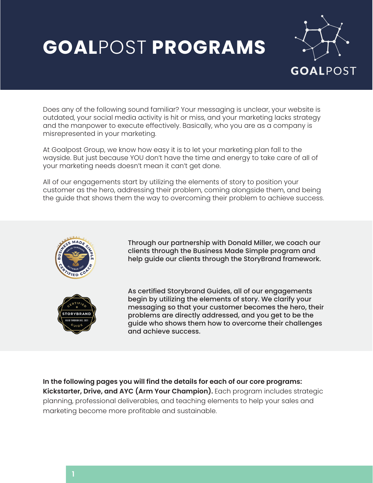# **GOAL**POST **PROGRAMS**



Does any of the following sound familiar? Your messaging is unclear, your website is outdated, your social media activity is hit or miss, and your marketing lacks strategy and the manpower to execute effectively. Basically, who you are as a company is misrepresented in your marketing.

At Goalpost Group, we know how easy it is to let your marketing plan fall to the wayside. But just because YOU don't have the time and energy to take care of all of your marketing needs doesn't mean it can't get done.

All of our engagements start by utilizing the elements of story to position your customer as the hero, addressing their problem, coming alongside them, and being the guide that shows them the way to overcoming their problem to achieve success.





Through our partnership with Donald Miller, we coach our clients through the Business Made Simple program and help guide our clients through the StoryBrand framework.

As certified Storybrand Guides, all of our engagements begin by utilizing the elements of story. We clarify your messaging so that your customer becomes the hero, their problems are directly addressed, and you get to be the guide who shows them how to overcome their challenges and achieve success.

**In the following pages you will find the details for each of our core programs: Kickstarter, Drive, and AYC (Arm Your Champion).** Each program includes strategic planning, professional deliverables, and teaching elements to help your sales and marketing become more profitable and sustainable.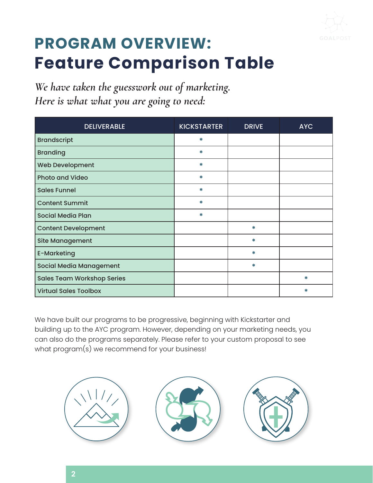

### **PROGRAM OVERVIEW: Feature Comparison Table**

*We have taken the guesswork out of marketing. Here is what what you are going to need:* 

| <b>DELIVERABLE</b>                | <b>KICKSTARTER</b> | <b>DRIVE</b> | <b>AYC</b> |
|-----------------------------------|--------------------|--------------|------------|
| <b>Brandscript</b>                | ∗                  |              |            |
| <b>Branding</b>                   | ∗                  |              |            |
| Web Development                   | ₩                  |              |            |
| <b>Photo and Video</b>            | ₩                  |              |            |
| <b>Sales Funnel</b>               | ₩                  |              |            |
| <b>Content Summit</b>             | ₩                  |              |            |
| <b>Social Media Plan</b>          | ₩                  |              |            |
| <b>Content Development</b>        |                    | *            |            |
| <b>Site Management</b>            |                    | ∗            |            |
| <b>E-Marketing</b>                |                    | *            |            |
| Social Media Management           |                    | *            |            |
| <b>Sales Team Workshop Series</b> |                    |              | ∗          |
| <b>Virtual Sales Toolbox</b>      |                    |              | ₩          |

We have built our programs to be progressive, beginning with Kickstarter and building up to the AYC program. However, depending on your marketing needs, you can also do the programs separately. Please refer to your custom proposal to see what program(s) we recommend for your business!

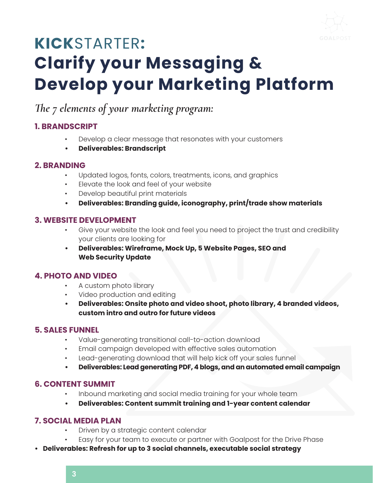

## **KICK**STARTER**: Clarify your Messaging & Develop your Marketing Platform**

### *The 7 elements of your marketing program:*

#### **1. BRANDSCRIPT**

- Develop a clear message that resonates with your customers
- **• Deliverables: Brandscript**

#### **2. BRANDING**

- Updated logos, fonts, colors, treatments, icons, and graphics
- Elevate the look and feel of your website
- Develop beautiful print materials
- **• Deliverables: Branding guide, iconography, print/trade show materials**

#### **3. WEBSITE DEVELOPMENT**

- Give your website the look and feel you need to project the trust and credibility your clients are looking for
- **• Deliverables: Wireframe, Mock Up, 5 Website Pages, SEO and Web Security Update**

#### **4. PHOTO AND VIDEO**

- A custom photo library
- Video production and editing
- **• Deliverables: Onsite photo and video shoot, photo library, 4 branded videos, custom intro and outro for future videos**

#### **5. SALES FUNNEL**

- Value-generating transitional call-to-action download
- Email campaign developed with effective sales automation
- Lead-generating download that will help kick off your sales funnel
- **• Deliverables: Lead generating PDF, 4 blogs, and an automated email campaign**

#### **6. CONTENT SUMMIT**

- Inbound marketing and social media training for your whole team
- **• Deliverables: Content summit training and 1-year content calendar**

#### **7. SOCIAL MEDIA PLAN**

- Driven by a strategic content calendar
- Easy for your team to execute or partner with Goalpost for the Drive Phase
- **• Deliverables: Refresh for up to 3 social channels, executable social strategy**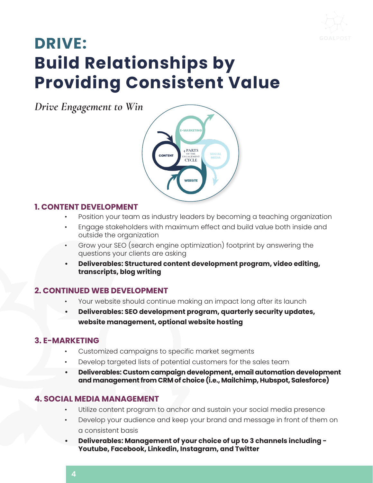

### **DRIVE: Build Relationships by Providing Consistent Value**

*Drive Engagement to Win*



#### **1. CONTENT DEVELOPMENT**

- Position your team as industry leaders by becoming a teaching organization
- Engage stakeholders with maximum effect and build value both inside and outside the organization
- Grow your SEO (search engine optimization) footprint by answering the questions your clients are asking
- **• Deliverables: Structured content development program, video editing, transcripts, blog writing**

#### **2. CONTINUED WEB DEVELOPMENT**

- Your website should continue making an impact long after its launch
- **• Deliverables: SEO development program, quarterly security updates, website management, optional website hosting**

#### **3. E-MARKETING**

- Customized campaigns to specific market segments
- Develop targeted lists of potential customers for the sales team
- **• Deliverables: Custom campaign development, email automation development and management from CRM of choice (i.e., Mailchimp, Hubspot, Salesforce)**

#### **4. SOCIAL MEDIA MANAGEMENT**

- Utilize content program to anchor and sustain your social media presence
- Develop your audience and keep your brand and message in front of them on a consistent basis
- **• Deliverables: Management of your choice of up to 3 channels including Youtube, Facebook, Linkedin, Instagram, and Twitter**